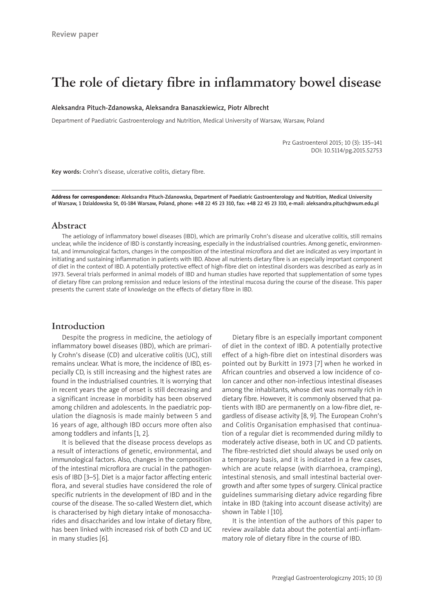# **The role of dietary fibre in inflammatory bowel disease**

#### Aleksandra Pituch-Zdanowska, Aleksandra Banaszkiewicz, Piotr Albrecht

Department of Paediatric Gastroenterology and Nutrition, Medical University of Warsaw, Warsaw, Poland

Prz Gastroenterol 2015; 10 (3): 135–141 DOI: 10.5114/pg.2015.52753

Key words: Crohn's disease, ulcerative colitis, dietary fibre.

Address for correspondence: Aleksandra Pituch-Zdanowska, Department of Paediatric Gastroenterology and Nutrition, Medical University of Warsaw, 1 Dzialdowska St, 01-184 Warsaw, Poland, phone: +48 22 45 23 310, fax: +48 22 45 23 310, e-mail: aleksandra.pituch@wum.edu.pl

### **Abstract**

The aetiology of inflammatory bowel diseases (IBD), which are primarily Crohn's disease and ulcerative colitis, still remains unclear, while the incidence of IBD is constantly increasing, especially in the industrialised countries. Among genetic, environmental, and immunological factors, changes in the composition of the intestinal microflora and diet are indicated as very important in initiating and sustaining inflammation in patients with IBD. Above all nutrients dietary fibre is an especially important component of diet in the context of IBD. A potentially protective effect of high-fibre diet on intestinal disorders was described as early as in 1973. Several trials performed in animal models of IBD and human studies have reported that supplementation of some types of dietary fibre can prolong remission and reduce lesions of the intestinal mucosa during the course of the disease. This paper presents the current state of knowledge on the effects of dietary fibre in IBD.

#### **Introduction**

Despite the progress in medicine, the aetiology of inflammatory bowel diseases (IBD), which are primarily Crohn's disease (CD) and ulcerative colitis (UC), still remains unclear. What is more, the incidence of IBD, especially CD, is still increasing and the highest rates are found in the industrialised countries. It is worrying that in recent years the age of onset is still decreasing and a significant increase in morbidity has been observed among children and adolescents. In the paediatric population the diagnosis is made mainly between 5 and 16 years of age, although IBD occurs more often also among toddlers and infants [1, 2].

It is believed that the disease process develops as a result of interactions of genetic, environmental, and immunological factors. Also, changes in the composition of the intestinal microflora are crucial in the pathogenesis of IBD [3–5]. Diet is a major factor affecting enteric flora, and several studies have considered the role of specific nutrients in the development of IBD and in the course of the disease. The so-called Western diet, which is characterised by high dietary intake of monosaccharides and disaccharides and low intake of dietary fibre, has been linked with increased risk of both CD and UC in many studies [6].

Dietary fibre is an especially important component of diet in the context of IBD. A potentially protective effect of a high-fibre diet on intestinal disorders was pointed out by Burkitt in 1973 [7] when he worked in African countries and observed a low incidence of colon cancer and other non-infectious intestinal diseases among the inhabitants, whose diet was normally rich in dietary fibre. However, it is commonly observed that patients with IBD are permanently on a low-fibre diet, regardless of disease activity [8, 9]. The European Crohn's and Colitis Organisation emphasised that continuation of a regular diet is recommended during mildly to moderately active disease, both in UC and CD patients. The fibre-restricted diet should always be used only on a temporary basis, and it is indicated in a few cases, which are acute relapse (with diarrhoea, cramping), intestinal stenosis, and small intestinal bacterial overgrowth and after some types of surgery. Clinical practice guidelines summarising dietary advice regarding fibre intake in IBD (taking into account disease activity) are shown in Table I [10].

It is the intention of the authors of this paper to review available data about the potential anti-inflammatory role of dietary fibre in the course of IBD.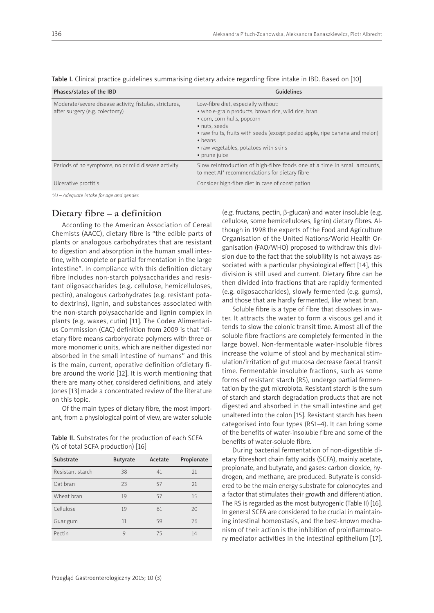| Phases/states of the IBD                                                                  | <b>Guidelines</b>                                                                                                                                                                                                                                                                                       |
|-------------------------------------------------------------------------------------------|---------------------------------------------------------------------------------------------------------------------------------------------------------------------------------------------------------------------------------------------------------------------------------------------------------|
| Moderate/severe disease activity, fistulas, strictures,<br>after surgery (e.g. colectomy) | Low-fibre diet, especially without:<br>· whole-grain products, brown rice, wild rice, bran<br>• corn, corn hulls, popcorn<br>· nuts, seeds<br>• raw fruits, fruits with seeds (except peeled apple, ripe banana and melon)<br>$\bullet$ beans<br>• raw vegetables, potatoes with skins<br>• prune juice |
| Periods of no symptoms, no or mild disease activity                                       | Slow reintroduction of high-fibre foods one at a time in small amounts,<br>to meet AI* recommendations for dietary fibre                                                                                                                                                                                |
| Ulcerative proctitis                                                                      | Consider high-fibre diet in case of constipation                                                                                                                                                                                                                                                        |

Table I. Clinical practice guidelines summarising dietary advice regarding fibre intake in IBD. Based on [10]

*\*AI – Adequate intake for age and gender.*

## **Dietary fibre – a definition**

According to the American Association of Cereal Chemists (AACC), dietary fibre is "the edible parts of plants or analogous carbohydrates that are resistant to digestion and absorption in the human small intestine, with complete or partial fermentation in the large intestine"*.* In compliance with this definition dietary fibre includes non-starch polysaccharides and resistant oligosaccharides (e.g. cellulose, hemicelluloses, pectin), analogous carbohydrates (e.g. resistant potato dextrins), lignin, and substances associated with the non-starch polysaccharide and lignin complex in plants (e.g. waxes, cutin) [11]. The Codex Alimentarius Commission (CAC) definition from 2009 is that "dietary fibre means carbohydrate polymers with three or more monomeric units, which are neither digested nor absorbed in the small intestine of humans" and this is the main, current, operative definition ofdietary fibre around the world [12]. It is worth mentioning that there are many other, considered definitions, and lately Jones [13] made a concentrated review of the literature on this topic.

Of the main types of dietary fibre, the most important, from a physiological point of view, are water soluble

Table II. Substrates for the production of each SCFA (% of total SCFA production) [16]

| Substrate        | <b>Butyrate</b> | Acetate | Propionate |
|------------------|-----------------|---------|------------|
| Resistant starch | 38              | 41      | 21         |
| Oat bran         | 23              | 57      | 21         |
| Wheat bran       | 19              | 57      | 15         |
| Cellulose        | 19              | 61      | 20         |
| Guar gum         | 11              | 59      | 26         |
| Pectin           | 9               | 75      | 14         |

(e.g. fructans, pectin, β-glucan) and water insoluble (e.g. cellulose, some hemicelluloses, lignin) dietary fibres. Although in 1998 the experts of the Food and Agriculture Organisation of the United Nations/World Health Organisation (FAO/WHO) proposed to withdraw this division due to the fact that the solubility is not always associated with a particular physiological effect [14], this division is still used and current. Dietary fibre can be then divided into fractions that are rapidly fermented (e.g. oligosaccharides), slowly fermented (e.g. gums), and those that are hardly fermented, like wheat bran.

Soluble fibre is a type of fibre that dissolves in water. It attracts the water to form a viscous gel and it tends to slow the colonic transit time. Almost all of the soluble fibre fractions are completely fermented in the large bowel. Non-fermentable water-insoluble fibres increase the volume of stool and by mechanical stimulation/irritation of gut mucosa decrease faecal transit time. Fermentable insoluble fractions, such as some forms of resistant starch (RS), undergo partial fermentation by the gut microbiota. Resistant starch is the sum of starch and starch degradation products that are not digested and absorbed in the small intestine and get unaltered into the colon [15]. Resistant starch has been categorised into four types (RS1–4). It can bring some of the benefits of water-insoluble fibre and some of the benefits of water-soluble fibre.

During bacterial fermentation of non-digestible dietary fibreshort chain fatty acids (SCFA), mainly acetate, propionate, and butyrate, and gases: carbon dioxide, hydrogen, and methane, are produced. Butyrate is considered to be the main energy substrate for colonocytes and a factor that stimulates their growth and differentiation. The RS is regarded as the most butyrogenic (Table II) [16]. In general SCFA are considered to be crucial in maintaining intestinal homeostasis, and the best-known mechanism of their action is the inhibition of proinflammatory mediator activities in the intestinal epithelium [17].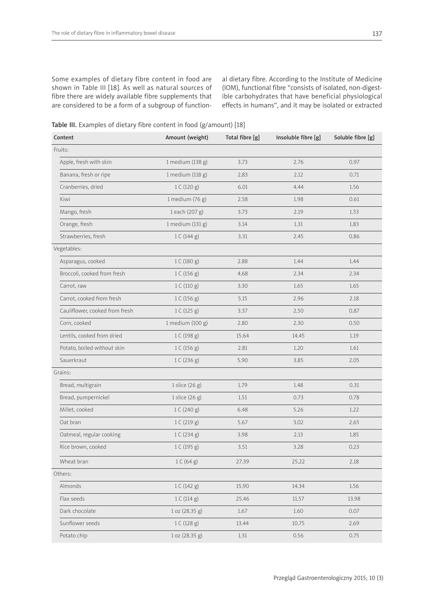Some examples of dietary fibre content in food are shown in Table III [18]. As well as natural sources of fibre there are widely available fibre supplements that are considered to be a form of a subgroup of functional dietary fibre. According to the Institute of Medicine (IOM), functional fibre "consists of isolated, non-digestible carbohydrates that have beneficial physiological effects in humans", and it may be isolated or extracted

Table III. Examples of dietary fibre content in food (g/amount) [18]

| Content                        | Amount (weight)   | Total fibre [g] | Insoluble fibre [g] | Soluble fibre [g] |
|--------------------------------|-------------------|-----------------|---------------------|-------------------|
| Fruits:                        |                   |                 |                     |                   |
| Apple, fresh with skin         | 1 medium (138 g)  | 3.73            | 2.76                | 0.97              |
| Banana, fresh or ripe          | 1 medium (118 g)  | 2.83            | 2.12                | 0.71              |
| Cranberries, dried             | 1 C (120 g)       | 6.01            | 4.44                | 1.56              |
| Kiwi                           | 1 medium $(76 g)$ | 2.58            | 1.98                | 0.61              |
| Mango, fresh                   | 1 each (207 g)    | 3.73            | 2.19                | 1.53              |
| Orange, fresh                  | 1 medium (131 g)  | 3.14            | 1.31                | 1.83              |
| Strawberries, fresh            | 1 C (144 g)       | 3.31            | 2.45                | 0.86              |
| Vegetables:                    |                   |                 |                     |                   |
| Asparagus, cooked              | 1 C (180 g)       | 2.88            | 1.44                | 1.44              |
| Broccoli, cooked from fresh    | 1 C (156 g)       | 4.68            | 2.34                | 2.34              |
| Carrot, raw                    | 1 C (110 g)       | 3.30            | 1.65                | 1.65              |
| Carrot, cooked from fresh      | 1 C (156 g)       | 5.15            | 2.96                | 2.18              |
| Cauliflower, cooked from fresh | 1 C (125 g)       | 3.37            | 2.50                | 0.87              |
| Corn, cooked                   | 1 medium (100 g)  | 2.80            | 2.30                | 0.50              |
| Lentils, cooked from dried     | 1 C (198 g)       | 15.64           | 14.45               | 1.19              |
| Potato, boiled without skin    | 1 C (156 g)       | 2.81            | 1.20                | 1.61              |
| Sauerkraut                     | 1 C (236 g)       | 5.90            | 3.85                | 2.05              |
| Grains:                        |                   |                 |                     |                   |
| Bread, multigrain              | 1 slice (26 g)    | 1.79            | 1.48                | 0.31              |
| Bread, pumpernickel            | 1 slice $(26 g)$  | 1.51            | 0.73                | 0.78              |
| Millet, cooked                 | 1 C (240 g)       | 6.48            | 5.26                | 1.22              |
| Oat bran                       | 1 C (219 g)       | 5.67            | 3.02                | 2.65              |
| Oatmeal, regular cooking       | 1 C (234 g)       | 3.98            | 2.13                | 1.85              |
| Rice brown, cooked             | 1 C (195 g)       | 3.51            | 3.28                | 0.23              |
| Wheat bran                     | 1 C (64 g)        | 27.39           | 25.22               | 2.18              |
| Others:                        |                   |                 |                     |                   |
| Almonds                        | 1 C (142 g)       | 15.90           | 14.34               | 1.56              |
| Flax seeds                     | 1 C (114 g)       | 25.46           | 11.57               | 13.98             |
| Dark chocolate                 | 1 oz (28.35 g)    | 1.67            | 1.60                | 0.07              |
| Sunflower seeds                | 1 C (128 g)       | 13.44           | 10.75               | 2.69              |
| Potato chip                    | 1 oz (28.35 g)    | 1.31            | 0.56                | 0.75              |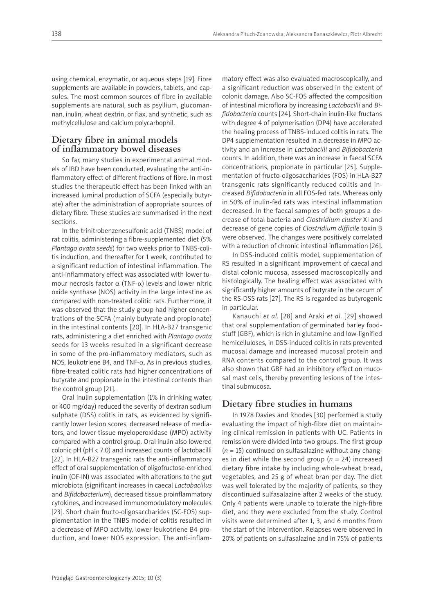using chemical, enzymatic, or aqueous steps [19]. Fibre supplements are available in powders, tablets, and capsules. The most common sources of fibre in available supplements are natural, such as psyllium, glucomannan, inulin, wheat dextrin, or flax, and synthetic, such as methylcellulose and calcium polycarbophil.

## **Dietary fibre in animal models of inflammatory bowel diseases**

So far, many studies in experimental animal models of IBD have been conducted, evaluating the anti-inflammatory effect of different fractions of fibre. In most studies the therapeutic effect has been linked with an increased luminal production of SCFA (especially butyrate) after the administration of appropriate sources of dietary fibre. These studies are summarised in the next sections.

In the trinitrobenzenesulfonic acid (TNBS) model of rat colitis, administering a fibre-supplemented diet (5% *Plantago ovata seeds*) for two weeks prior to TNBS-colitis induction, and thereafter for 1 week, contributed to a significant reduction of intestinal inflammation. The anti-inflammatory effect was associated with lower tumour necrosis factor  $\alpha$  (TNF- $\alpha$ ) levels and lower nitric oxide synthase (NOS) activity in the large intestine as compared with non-treated colitic rats. Furthermore, it was observed that the study group had higher concentrations of the SCFA (mainly butyrate and propionate) in the intestinal contents [20]. In HLA-B27 transgenic rats, administering a diet enriched with *Plantago ovata* seeds for 13 weeks resulted in a significant decrease in some of the pro-inflammatory mediators, such as NOS, leukotriene B4, and TNF-α. As in previous studies, fibre-treated colitic rats had higher concentrations of butyrate and propionate in the intestinal contents than the control group [21].

Oral inulin supplementation (1% in drinking water, or 400 mg/day) reduced the severity of dextran sodium sulphate (DSS) colitis in rats, as evidenced by significantly lower lesion scores, decreased release of mediators, and lower tissue myeloperoxidase (MPO) activity compared with a control group. Oral inulin also lowered colonic pH (pH < 7.0) and increased counts of lactobacilli [22]. In HLA-B27 transgenic rats the anti-inflammatory effect of oral supplementation of oligofructose-enriched inulin (OF-IN) was associated with alterations to the gut microbiota (significant increases in caecal *Lactobacillus* and *Bifidobacterium*), decreased tissue proinflammatory cytokines, and increased immunomodulatory molecules [23]. Short chain fructo-oligosaccharides (SC-FOS) supplementation in the TNBS model of colitis resulted in a decrease of MPO activity, lower leukotriene B4 production, and lower NOS expression. The anti-inflam-

matory effect was also evaluated macroscopically, and a significant reduction was observed in the extent of colonic damage. Also SC-FOS affected the composition of intestinal microflora by increasing *Lactobacilli* and *Bifidobacteria* counts [24]. Short-chain inulin-like fructans with degree 4 of polymerisation (DP4) have accelerated the healing process of TNBS-induced colitis in rats. The DP4 supplementation resulted in a decrease in MPO activity and an increase in *Lactobacilli* and *Bifidobacteria* counts. In addition, there was an increase in faecal SCFA concentrations, propionate in particular [25]. Supplementation of fructo-oligosaccharides (FOS) in HLA-B27 transgenic rats significantly reduced colitis and increased *Bifidobacteria* in all FOS-fed rats. Whereas only in 50% of inulin-fed rats was intestinal inflammation decreased. In the faecal samples of both groups a decrease of total bacteria and *Clostridium cluster* XI and decrease of gene copies of *Clostridium difficile* toxin B were observed. The changes were positively correlated with a reduction of chronic intestinal inflammation [26].

In DSS-induced colitis model, supplementation of RS resulted in a significant improvement of caecal and distal colonic mucosa, assessed macroscopically and histologically. The healing effect was associated with significantly higher amounts of butyrate in the cecum of the RS-DSS rats [27]. The RS is regarded as butyrogenic in particular.

Kanauchi *et al.* [28] and Araki *et al.* [29] showed that oral supplementation of germinated barley foodstuff (GBF), which is rich in glutamine and low-lignified hemicelluloses, in DSS-induced colitis in rats prevented mucosal damage and increased mucosal protein and RNA contents compared to the control group. It was also shown that GBF had an inhibitory effect on mucosal mast cells, thereby preventing lesions of the intestinal submucosa.

## **Dietary fibre studies in humans**

In 1978 Davies and Rhodes [30] performed a study evaluating the impact of high-fibre diet on maintaining clinical remission in patients with UC. Patients in remission were divided into two groups. The first group (*n* = 15) continued on sulfasalazine without any changes in diet while the second group (*n* = 24) increased dietary fibre intake by including whole-wheat bread, vegetables, and 25 g of wheat bran per day. The diet was well tolerated by the majority of patients, so they discontinued sulfasalazine after 2 weeks of the study. Only 4 patients were unable to tolerate the high-fibre diet, and they were excluded from the study. Control visits were determined after 1, 3, and 6 months from the start of the intervention. Relapses were observed in 20% of patients on sulfasalazine and in 75% of patients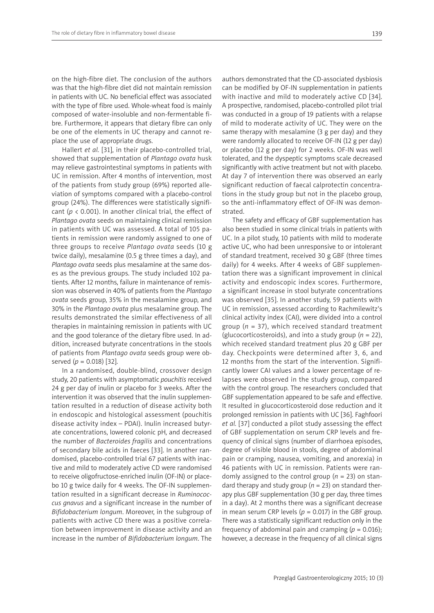on the high-fibre diet. The conclusion of the authors was that the high-fibre diet did not maintain remission in patients with UC. No beneficial effect was associated with the type of fibre used. Whole-wheat food is mainly composed of water-insoluble and non-fermentable fibre. Furthermore, it appears that dietary fibre can only be one of the elements in UC therapy and cannot replace the use of appropriate drugs.

Hallert *et al.* [31], in their placebo-controlled trial, showed that supplementation of *Plantago ovata* husk may relieve gastrointestinal symptoms in patients with UC in remission. After 4 months of intervention, most of the patients from study group (69%) reported alleviation of symptoms compared with a placebo-control group (24%). The differences were statistically significant (*p* < 0.001). In another clinical trial, the effect of *Plantago ovata* seeds on maintaining clinical remission in patients with UC was assessed. A total of 105 patients in remission were randomly assigned to one of three groups to receive *Plantago ovata* seeds (10 g twice daily), mesalamine (0.5 g three times a day), and *Plantago ovata* seeds plus mesalamine at the same doses as the previous groups. The study included 102 patients. After 12 months, failure in maintenance of remission was observed in 40% of patients from the *Plantago ovata* seeds group, 35% in the mesalamine group, and 30% in the *Plantago ovata* plus mesalamine group. The results demonstrated the similar effectiveness of all therapies in maintaining remission in patients with UC and the good tolerance of the dietary fibre used. In addition, increased butyrate concentrations in the stools of patients from *Plantago ovata* seeds group were observed (*p* = 0.018) [32].

In a randomised, double-blind, crossover design study, 20 patients with asymptomatic *pouchitis* received 24 g per day of inulin or placebo for 3 weeks. After the intervention it was observed that the inulin supplementation resulted in a reduction of disease activity both in endoscopic and histological assessment (pouchitis disease activity index – PDAI). Inulin increased butyrate concentrations, lowered colonic pH, and decreased the number of *Bacteroides fragilis* and concentrations of secondary bile acids in faeces [33]. In another randomised, placebo-controlled trial 67 patients with inactive and mild to moderately active CD were randomised to receive oligofructose-enriched inulin (OF-IN) or placebo 10 g twice daily for 4 weeks. The OF-IN supplementation resulted in a significant decrease in *Ruminococcus gnavus* and a significant increase in the number of *Bifidobacterium longum*. Moreover, in the subgroup of patients with active CD there was a positive correlation between improvement in disease activity and an increase in the number of *Bifidobacterium longum*. The can be modified by OF-IN supplementation in patients with inactive and mild to moderately active CD [34]. A prospective, randomised, placebo-controlled pilot trial was conducted in a group of 19 patients with a relapse of mild to moderate activity of UC. They were on the same therapy with mesalamine (3 g per day) and they were randomly allocated to receive OF-IN (12 g per day) or placebo (12 g per day) for 2 weeks. OF-IN was well tolerated, and the dyspeptic symptoms scale decreased significantly with active treatment but not with placebo. At day 7 of intervention there was observed an early significant reduction of faecal calprotectin concentrations in the study group but not in the placebo group, so the anti-inflammatory effect of OF-IN was demonstrated.

The safety and efficacy of GBF supplementation has also been studied in some clinical trials in patients with UC. In a pilot study, 10 patients with mild to moderate active UC, who had been unresponsive to or intolerant of standard treatment, received 30 g GBF (three times daily) for 4 weeks. After 4 weeks of GBF supplementation there was a significant improvement in clinical activity and endoscopic index scores. Furthermore, a significant increase in stool butyrate concentrations was observed [35]. In another study, 59 patients with UC in remission, assessed according to Rachmilewitz's clinical activity index (CAI), were divided into a control group (*n* = 37), which received standard treatment (glucocorticosteroids), and into a study group (*n* = 22), which received standard treatment plus 20 g GBF per day. Checkpoints were determined after 3, 6, and 12 months from the start of the intervention. Significantly lower CAI values and a lower percentage of relapses were observed in the study group, compared with the control group. The researchers concluded that GBF supplementation appeared to be safe and effective. It resulted in glucocorticosteroid dose reduction and it prolonged remission in patients with UC [36]. Faghfoori *et al.* [37] conducted a pilot study assessing the effect of GBF supplementation on serum CRP levels and frequency of clinical signs (number of diarrhoea episodes, degree of visible blood in stools, degree of abdominal pain or cramping, nausea, vomiting, and anorexia) in 46 patients with UC in remission. Patients were randomly assigned to the control group (*n* = 23) on standard therapy and study group (*n* = 23) on standard therapy plus GBF supplementation (30 g per day, three times in a day). At 2 months there was a significant decrease in mean serum CRP levels ( $p = 0.017$ ) in the GBF group. There was a statistically significant reduction only in the frequency of abdominal pain and cramping  $(p = 0.016)$ ; however, a decrease in the frequency of all clinical signs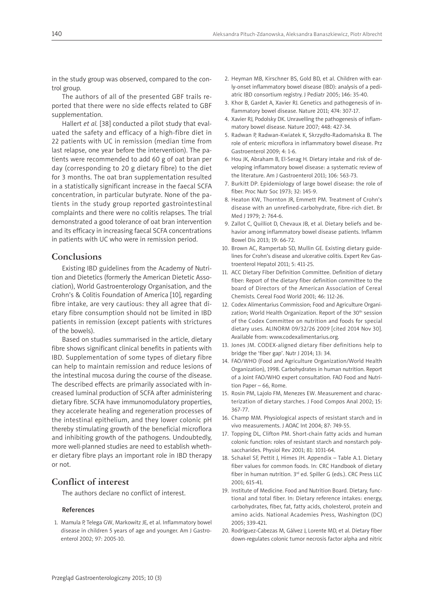in the study group was observed, compared to the control group.

The authors of all of the presented GBF trails reported that there were no side effects related to GBF supplementation.

Hallert *et al.* [38] conducted a pilot study that evaluated the safety and efficacy of a high-fibre diet in 22 patients with UC in remission (median time from last relapse, one year before the intervention). The patients were recommended to add 60 g of oat bran per day (corresponding to 20 g dietary fibre) to the diet for 3 months. The oat bran supplementation resulted in a statistically significant increase in the faecal SCFA concentration, in particular butyrate. None of the patients in the study group reported gastrointestinal complaints and there were no colitis relapses. The trial demonstrated a good tolerance of oat bran intervention and its efficacy in increasing faecal SCFA concentrations in patients with UC who were in remission period.

### **Conclusions**

Existing IBD guidelines from the Academy of Nutrition and Dietetics (formerly the American Dietetic Association), World Gastroenterology Organisation, and the Crohn's & Colitis Foundation of America [10], regarding fibre intake, are very cautious: they all agree that dietary fibre consumption should not be limited in IBD patients in remission (except patients with strictures of the bowels).

Based on studies summarised in the article, dietary fibre shows significant clinical benefits in patients with IBD. Supplementation of some types of dietary fibre can help to maintain remission and reduce lesions of the intestinal mucosa during the course of the disease. The described effects are primarily associated with increased luminal production of SCFA after administering dietary fibre. SCFA have immunomodulatory properties, they accelerate healing and regeneration processes of the intestinal epithelium, and they lower colonic pH thereby stimulating growth of the beneficial microflora and inhibiting growth of the pathogens. Undoubtedly, more well-planned studies are need to establish whether dietary fibre plays an important role in IBD therapy or not.

## **Conflict of interest**

The authors declare no conflict of interest.

#### References

1. Mamula P, Telega GW, Markowitz JE, et al. Inflammatory bowel disease in children 5 years of age and younger. Am J Gastroenterol 2002; 97: 2005-10.

- 2. Heyman MB, Kirschner BS, Gold BD, et al. Children with early-onset inflammatory bowel disease (IBD): analysis of a pediatric IBD consortium registry. J Pediatr 2005; 146: 35-40.
- 3. Khor B, Gardet A, Xavier RJ. Genetics and pathogenesis of inflammatory bowel disease. Nature 2011; 474: 307-17.
- 4. Xavier RJ, Podolsky DK. Unravelling the pathogenesis of inflammatory bowel disease. Nature 2007; 448: 427-34.
- 5. Radwan P, Radwan-Kwiatek K, Skrzydło-Radomańska B. The role of enteric microflora in inflammatory bowel disease. Prz Gastroenterol 2009; 4: 1-6.
- 6. Hou JK, Abraham B, El-Serag H. Dietary intake and risk of developing inflammatory bowel disease: a systematic review of the literature. Am J Gastroenterol 2011; 106: 563-73.
- 7. Burkitt DP. Epidemiology of large bowel disease: the role of fiber. Proc Nutr Soc 1973; 32: 145-9.
- 8. Heaton KW, Thornton JR, Emmett PM. Treatment of Crohn's disease with an unrefined-carbohydrate, fibre-rich diet. Br Med J 1979; 2: 764-6.
- 9. Zallot C, Quilliot D, Chevaux JB, et al. Dietary beliefs and behavior among inflammatory bowel disease patients. Inflamm Bowel Dis 2013; 19: 66-72.
- 10. Brown AC, Rampertab SD, Mullin GE. Existing dietary guidelines for Crohn's disease and ulcerative colitis. Expert Rev Gastroenterol Hepatol 2011; 5: 411-25.
- 11. ACC Dietary Fiber Definition Committee. Definition of dietary fiber: Report of the dietary fiber definition committee to the board of Directors of the American Association of Cereal Chemists. Cereal Food World 2001; 46: 112-26.
- 12. Codex Alimentarius Commission; Food and Agriculture Organization; World Health Organization. Report of the 30<sup>th</sup> session of the Codex Committee on nutrition and foods for special dietary uses. ALINORM 09/32/26 2009 [cited 2014 Nov 30]. Available from: www.codexalimentarius.org.
- 13. Jones JM. CODEX-aligned dietary fiber definitions help to bridge the 'fiber gap'. Nutr J 2014; 13: 34.
- 14. FAO/WHO (Food and Agriculture Organization/World Health Organization), 1998. Carbohydrates in human nutrition. Report of a Joint FAO/WHO expert consultation. FAO Food and Nutrition Paper – 66, Rome.
- 15. Rosin PM, Lajolo FM, Menezes EW. Measurement and characterization of dietary starches. J Food Compos Anal 2002; 15: 367-77.
- 16. Champ MM. Physiological aspects of resistant starch and in vivo measurements. J AOAC Int 2004; 87: 749-55.
- 17. Topping DL, Clifton PM. Short-chain fatty acids and human colonic function: roles of resistant starch and nonstarch polysaccharides. Physiol Rev 2001; 81: 1031-64.
- 18. Schakel SF, Pettit J, Himes JH. Appendix Table A.1. Dietary fiber values for common foods. In: CRC Handbook of dietary fiber in human nutrition. 3rd ed. Spiller G (eds.). CRC Press LLC 2001; 615-41.
- 19. Institute of Medicine. Food and Nutrition Board. Dietary, functional and total fiber. In: Dietary reference intakes: energy, carbohydrates, fiber, fat, fatty acids, cholesterol, protein and amino acids. National Academies Press, Washington (DC) 2005; 339-421.
- 20. Rodríguez-Cabezas M, Gálvez J, Lorente MD, et al. Dietary fiber down-regulates colonic tumor necrosis factor alpha and nitric